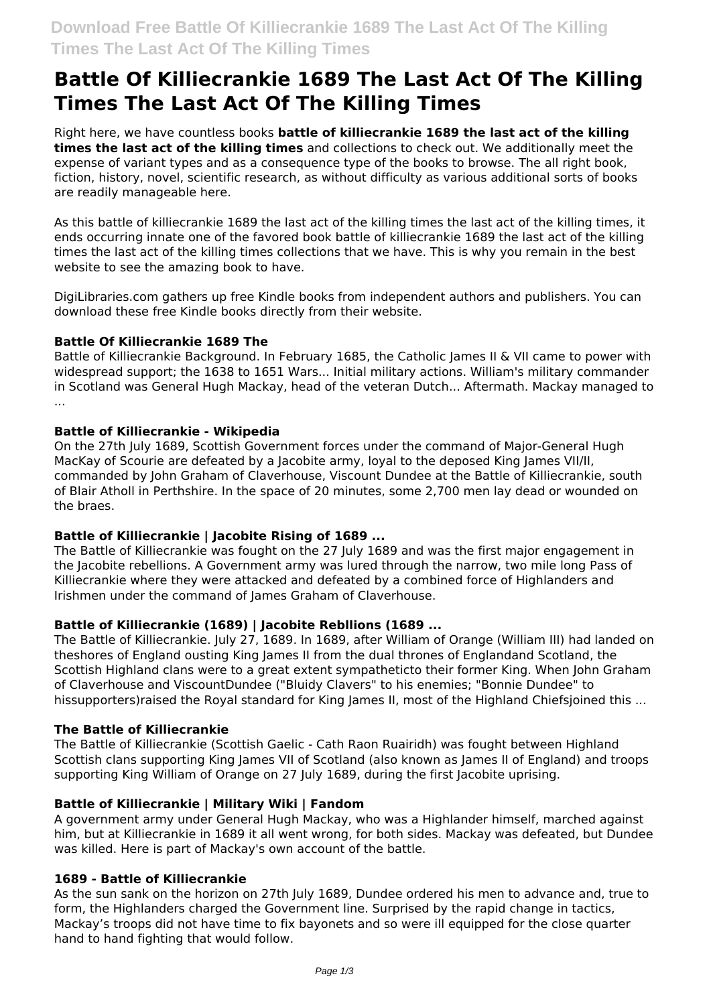# **Battle Of Killiecrankie 1689 The Last Act Of The Killing Times The Last Act Of The Killing Times**

Right here, we have countless books **battle of killiecrankie 1689 the last act of the killing times the last act of the killing times** and collections to check out. We additionally meet the expense of variant types and as a consequence type of the books to browse. The all right book, fiction, history, novel, scientific research, as without difficulty as various additional sorts of books are readily manageable here.

As this battle of killiecrankie 1689 the last act of the killing times the last act of the killing times, it ends occurring innate one of the favored book battle of killiecrankie 1689 the last act of the killing times the last act of the killing times collections that we have. This is why you remain in the best website to see the amazing book to have.

DigiLibraries.com gathers up free Kindle books from independent authors and publishers. You can download these free Kindle books directly from their website.

# **Battle Of Killiecrankie 1689 The**

Battle of Killiecrankie Background. In February 1685, the Catholic James II & VII came to power with widespread support; the 1638 to 1651 Wars... Initial military actions. William's military commander in Scotland was General Hugh Mackay, head of the veteran Dutch... Aftermath. Mackay managed to ...

# **Battle of Killiecrankie - Wikipedia**

On the 27th July 1689, Scottish Government forces under the command of Major-General Hugh MacKay of Scourie are defeated by a Jacobite army, loyal to the deposed King James VII/II, commanded by John Graham of Claverhouse, Viscount Dundee at the Battle of Killiecrankie, south of Blair Atholl in Perthshire. In the space of 20 minutes, some 2,700 men lay dead or wounded on the braes.

# **Battle of Killiecrankie | Jacobite Rising of 1689 ...**

The Battle of Killiecrankie was fought on the 27 July 1689 and was the first major engagement in the Jacobite rebellions. A Government army was lured through the narrow, two mile long Pass of Killiecrankie where they were attacked and defeated by a combined force of Highlanders and Irishmen under the command of James Graham of Claverhouse.

# **Battle of Killiecrankie (1689) | Jacobite Rebllions (1689 ...**

The Battle of Killiecrankie. July 27, 1689. In 1689, after William of Orange (William III) had landed on theshores of England ousting King James II from the dual thrones of Englandand Scotland, the Scottish Highland clans were to a great extent sympatheticto their former King. When John Graham of Claverhouse and ViscountDundee ("Bluidy Clavers" to his enemies; "Bonnie Dundee" to hissupporters)raised the Royal standard for King James II, most of the Highland Chiefsjoined this ...

# **The Battle of Killiecrankie**

The Battle of Killiecrankie (Scottish Gaelic - Cath Raon Ruairidh) was fought between Highland Scottish clans supporting King James VII of Scotland (also known as James II of England) and troops supporting King William of Orange on 27 July 1689, during the first Jacobite uprising.

# **Battle of Killiecrankie | Military Wiki | Fandom**

A government army under General Hugh Mackay, who was a Highlander himself, marched against him, but at Killiecrankie in 1689 it all went wrong, for both sides. Mackay was defeated, but Dundee was killed. Here is part of Mackay's own account of the battle.

# **1689 - Battle of Killiecrankie**

As the sun sank on the horizon on 27th July 1689, Dundee ordered his men to advance and, true to form, the Highlanders charged the Government line. Surprised by the rapid change in tactics, Mackay's troops did not have time to fix bayonets and so were ill equipped for the close quarter hand to hand fighting that would follow.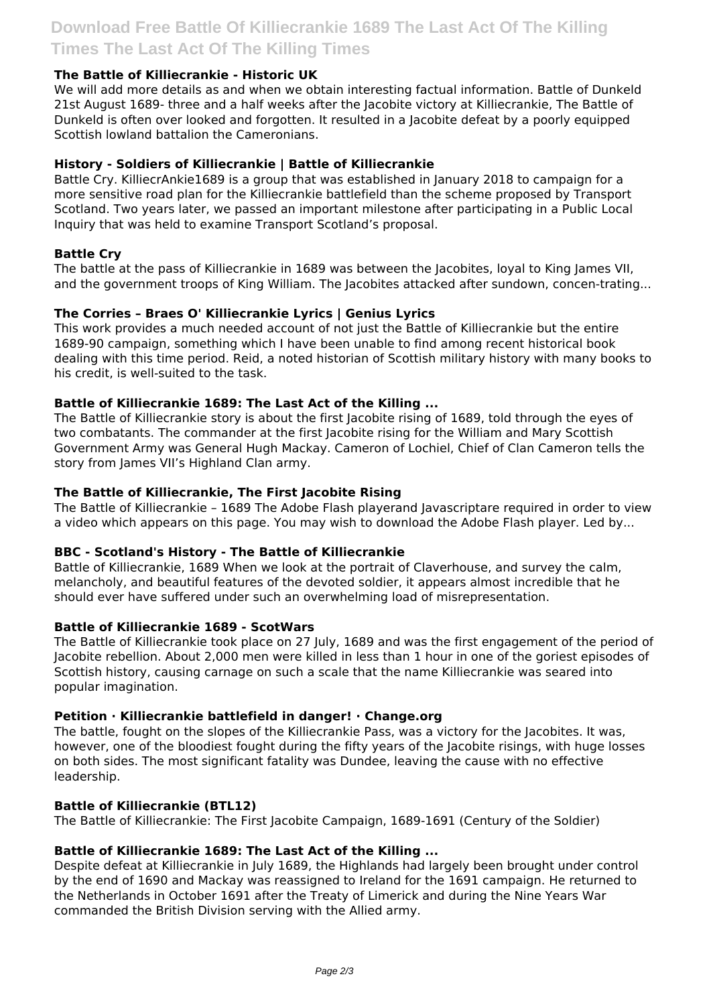# **The Battle of Killiecrankie - Historic UK**

We will add more details as and when we obtain interesting factual information. Battle of Dunkeld 21st August 1689- three and a half weeks after the Jacobite victory at Killiecrankie, The Battle of Dunkeld is often over looked and forgotten. It resulted in a Jacobite defeat by a poorly equipped Scottish lowland battalion the Cameronians.

#### **History - Soldiers of Killiecrankie | Battle of Killiecrankie**

Battle Cry. KilliecrAnkie1689 is a group that was established in January 2018 to campaign for a more sensitive road plan for the Killiecrankie battlefield than the scheme proposed by Transport Scotland. Two years later, we passed an important milestone after participating in a Public Local Inquiry that was held to examine Transport Scotland's proposal.

#### **Battle Cry**

The battle at the pass of Killiecrankie in 1689 was between the lacobites, loyal to King James VII, and the government troops of King William. The Jacobites attacked after sundown, concen-trating...

## **The Corries – Braes O' Killiecrankie Lyrics | Genius Lyrics**

This work provides a much needed account of not just the Battle of Killiecrankie but the entire 1689-90 campaign, something which I have been unable to find among recent historical book dealing with this time period. Reid, a noted historian of Scottish military history with many books to his credit, is well-suited to the task.

## **Battle of Killiecrankie 1689: The Last Act of the Killing ...**

The Battle of Killiecrankie story is about the first Jacobite rising of 1689, told through the eyes of two combatants. The commander at the first Jacobite rising for the William and Mary Scottish Government Army was General Hugh Mackay. Cameron of Lochiel, Chief of Clan Cameron tells the story from James VII's Highland Clan army.

## **The Battle of Killiecrankie, The First Jacobite Rising**

The Battle of Killiecrankie – 1689 The Adobe Flash playerand Javascriptare required in order to view a video which appears on this page. You may wish to download the Adobe Flash player. Led by...

#### **BBC - Scotland's History - The Battle of Killiecrankie**

Battle of Killiecrankie, 1689 When we look at the portrait of Claverhouse, and survey the calm, melancholy, and beautiful features of the devoted soldier, it appears almost incredible that he should ever have suffered under such an overwhelming load of misrepresentation.

#### **Battle of Killiecrankie 1689 - ScotWars**

The Battle of Killiecrankie took place on 27 July, 1689 and was the first engagement of the period of Jacobite rebellion. About 2,000 men were killed in less than 1 hour in one of the goriest episodes of Scottish history, causing carnage on such a scale that the name Killiecrankie was seared into popular imagination.

#### **Petition · Killiecrankie battlefield in danger! · Change.org**

The battle, fought on the slopes of the Killiecrankie Pass, was a victory for the Jacobites. It was, however, one of the bloodiest fought during the fifty years of the Jacobite risings, with huge losses on both sides. The most significant fatality was Dundee, leaving the cause with no effective leadership.

#### **Battle of Killiecrankie (BTL12)**

The Battle of Killiecrankie: The First Jacobite Campaign, 1689-1691 (Century of the Soldier)

#### **Battle of Killiecrankie 1689: The Last Act of the Killing ...**

Despite defeat at Killiecrankie in July 1689, the Highlands had largely been brought under control by the end of 1690 and Mackay was reassigned to Ireland for the 1691 campaign. He returned to the Netherlands in October 1691 after the Treaty of Limerick and during the Nine Years War commanded the British Division serving with the Allied army.